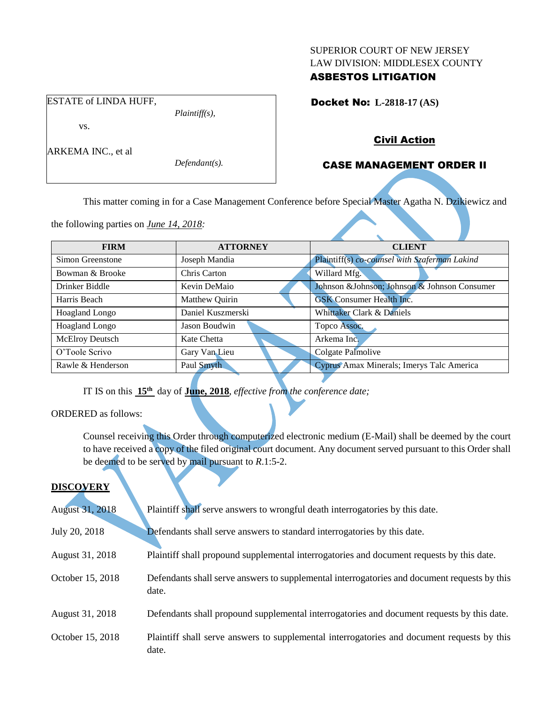#### SUPERIOR COURT OF NEW JERSEY LAW DIVISION: MIDDLESEX COUNTY

## ASBESTOS LITIGATION

Docket No: **L-2818-17 (AS)** 

# vs.

ESTATE of LINDA HUFF,

ARKEMA INC., et al

*Defendant(s).*

*Plaintiff(s),*

# Civil Action

# CASE MANAGEMENT ORDER II

This matter coming in for a Case Management Conference before Special Master Agatha N. Dzikiewicz and

the following parties on *June 14, 2018:*

| <b>FIRM</b>           | <b>ATTORNEY</b>   | <b>CLIENT</b>                                 |
|-----------------------|-------------------|-----------------------------------------------|
| Simon Greenstone      | Joseph Mandia     | Plaintiff(s) co-counsel with Szaferman Lakind |
| Bowman & Brooke       | Chris Carton      | Willard Mfg.                                  |
| Drinker Biddle        | Kevin DeMaio      | Johnson & Johnson; Johnson & Johnson Consumer |
| Harris Beach          | Matthew Quirin    | <b>GSK</b> Consumer Health Inc.               |
| <b>Hoagland Longo</b> | Daniel Kuszmerski | Whittaker Clark & Daniels                     |
| <b>Hoagland Longo</b> | Jason Boudwin     | Topco Assoc.                                  |
| McElroy Deutsch       | Kate Chetta       | Arkema Inc.                                   |
| O'Toole Scrivo        | Gary Van Lieu     | Colgate Palmolive                             |
| Rawle & Henderson     | Paul Smyth        | Cyprus Amax Minerals; Imerys Talc America     |

IT IS on this **15th** day of **June, 2018**, *effective from the conference date;*

ORDERED as follows:

Counsel receiving this Order through computerized electronic medium (E-Mail) shall be deemed by the court to have received a copy of the filed original court document. Any document served pursuant to this Order shall be deemed to be served by mail pursuant to *R*.1:5-2.

## **DISCOVERY**

| <b>August 31, 2018</b> | Plaintiff shall serve answers to wrongful death interrogatories by this date.                         |
|------------------------|-------------------------------------------------------------------------------------------------------|
| July 20, 2018          | Defendants shall serve answers to standard interrogatories by this date.                              |
| August 31, 2018        | Plaintiff shall propound supplemental interrogatories and document requests by this date.             |
| October 15, 2018       | Defendants shall serve answers to supplemental interrogatories and document requests by this<br>date. |
| August 31, 2018        | Defendants shall propound supplemental interrogatories and document requests by this date.            |
| October 15, 2018       | Plaintiff shall serve answers to supplemental interrogatories and document requests by this<br>date.  |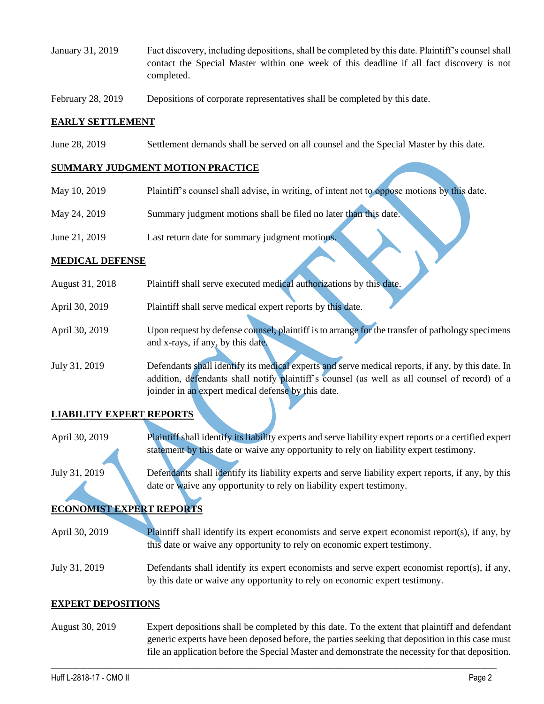- January 31, 2019 Fact discovery, including depositions, shall be completed by this date. Plaintiff's counsel shall contact the Special Master within one week of this deadline if all fact discovery is not completed.
- February 28, 2019 Depositions of corporate representatives shall be completed by this date.

### **EARLY SETTLEMENT**

June 28, 2019 Settlement demands shall be served on all counsel and the Special Master by this date.

### **SUMMARY JUDGMENT MOTION PRACTICE**

- May 10, 2019 Plaintiff's counsel shall advise, in writing, of intent not to oppose motions by this date.
- May 24, 2019 Summary judgment motions shall be filed no later than this date.
- June 21, 2019 Last return date for summary judgment motions.

#### **MEDICAL DEFENSE**

| August 31, 2018 | Plaintiff shall serve executed medical authorizations by this date.                               |
|-----------------|---------------------------------------------------------------------------------------------------|
| April 30, 2019  | Plaintiff shall serve medical expert reports by this date.                                        |
| April 30, 2019  | Upon request by defense counsel, plaintiff is to arrange for the transfer of pathology specimens  |
|                 | and x-rays, if any, by this date.                                                                 |
| July 31, 2019   | Defendants shall identify its medical experts and serve medical reports, if any, by this date. In |
|                 | addition, defendants shall notify plaintiff's counsel (as well as all counsel of record) of a     |
|                 | joinder in an expert medical defense by this date.                                                |

## **LIABILITY EXPERT REPORTS**

April 30, 2019 Plaintiff shall identify its liability experts and serve liability expert reports or a certified expert statement by this date or waive any opportunity to rely on liability expert testimony.

July 31, 2019 Defendants shall identify its liability experts and serve liability expert reports, if any, by this date or waive any opportunity to rely on liability expert testimony.

# **ECONOMIST EXPERT REPORTS**

April 30, 2019 Plaintiff shall identify its expert economists and serve expert economist report(s), if any, by this date or waive any opportunity to rely on economic expert testimony.

July 31, 2019 Defendants shall identify its expert economists and serve expert economist report(s), if any, by this date or waive any opportunity to rely on economic expert testimony.

#### **EXPERT DEPOSITIONS**

August 30, 2019 Expert depositions shall be completed by this date. To the extent that plaintiff and defendant generic experts have been deposed before, the parties seeking that deposition in this case must file an application before the Special Master and demonstrate the necessity for that deposition.

 $\_$  ,  $\_$  ,  $\_$  ,  $\_$  ,  $\_$  ,  $\_$  ,  $\_$  ,  $\_$  ,  $\_$  ,  $\_$  ,  $\_$  ,  $\_$  ,  $\_$  ,  $\_$  ,  $\_$  ,  $\_$  ,  $\_$  ,  $\_$  ,  $\_$  ,  $\_$  ,  $\_$  ,  $\_$  ,  $\_$  ,  $\_$  ,  $\_$  ,  $\_$  ,  $\_$  ,  $\_$  ,  $\_$  ,  $\_$  ,  $\_$  ,  $\_$  ,  $\_$  ,  $\_$  ,  $\_$  ,  $\_$  ,  $\_$  ,